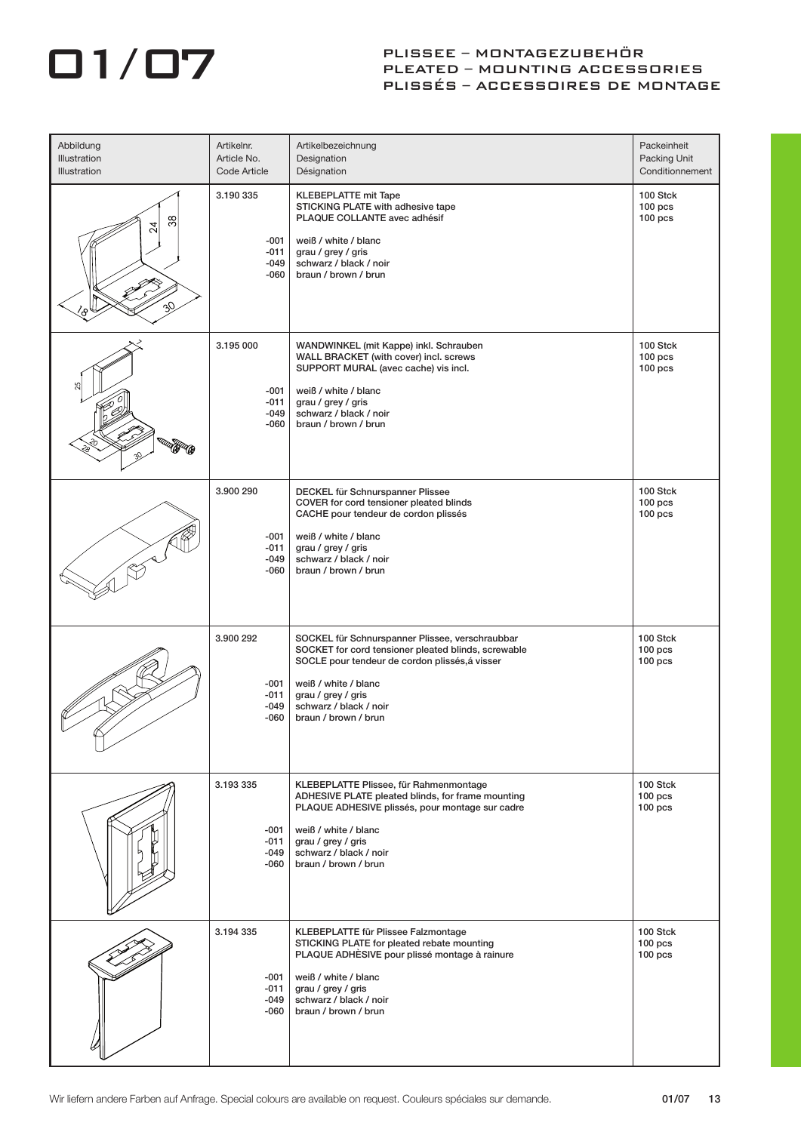## PLISSEE – MONTAGEZUBEHÖR<br>PLEATED – MOUNTING ACCESS PLEATED – MOUNTING ACCESSORIES PLISSÉS – ACCESSOIRES DE MONTAGE

| Abbildung<br>Illustration<br><b>Illustration</b> | Artikelnr.<br>Article No.<br>Code Article       | Artikelbezeichnung<br>Designation<br>Désignation                                                                                                                                                                                                         | Packeinheit<br>Packing Unit<br>Conditionnement |
|--------------------------------------------------|-------------------------------------------------|----------------------------------------------------------------------------------------------------------------------------------------------------------------------------------------------------------------------------------------------------------|------------------------------------------------|
| 38<br>$\overline{24}$                            | 3.190 335<br>-001<br>-011<br>-049<br>-060       | <b>KLEBEPLATTE mit Tape</b><br>STICKING PLATE with adhesive tape<br>PLAQUE COLLANTE avec adhésif<br>weiß / white / blanc<br>grau / grey / gris<br>schwarz / black / noir<br>braun / brown / brun                                                         | 100 Stck<br>$100$ pcs<br>$100$ pcs             |
|                                                  | 3.195 000<br>$-001$<br>-011<br>-049<br>-060     | WANDWINKEL (mit Kappe) inkl. Schrauben<br>WALL BRACKET (with cover) incl. screws<br>SUPPORT MURAL (avec cache) vis incl.<br>weiß / white / blanc<br>grau / grey / gris<br>schwarz / black / noir<br>braun / brown / brun                                 | 100 Stck<br>$100$ pcs<br>$100$ pcs             |
|                                                  | 3.900 290<br>-001<br>$-011$<br>-049<br>-060     | DECKEL für Schnurspanner Plissee<br>COVER for cord tensioner pleated blinds<br>CACHE pour tendeur de cordon plissés<br>weiß / white / blanc<br>grau / grey / gris<br>schwarz / black / noir<br>braun / brown / brun                                      | 100 Stck<br>$100$ pcs<br>$100$ pcs             |
|                                                  | 3.900 292<br>$-001$<br>$-011$<br>-049<br>$-060$ | SOCKEL für Schnurspanner Plissee, verschraubbar<br>SOCKET for cord tensioner pleated blinds, screwable<br>SOCLE pour tendeur de cordon plissés, á visser<br>weiß / white / blanc<br>grau / grey / gris<br>schwarz / black / noir<br>braun / brown / brun | 100 Stck<br>$100$ pcs<br>$100$ pcs             |
|                                                  | 3.193 335<br>$-001$<br>$-011$<br>-049<br>-060   | KLEBEPLATTE Plissee, für Rahmenmontage<br>ADHESIVE PLATE pleated blinds, for frame mounting<br>PLAQUE ADHESIVE plissés, pour montage sur cadre<br>weiß / white / blanc<br>grau / grey / gris<br>schwarz / black / noir<br>braun / brown / brun           | 100 Stck<br>$100$ pcs<br>$100$ pcs             |
|                                                  | 3.194 335<br>$-001$<br>-011<br>-049<br>-060     | KLEBEPLATTE für Plissee Falzmontage<br>STICKING PLATE for pleated rebate mounting<br>PLAQUE ADHÈSIVE pour plissé montage à rainure<br>weiß / white / blanc<br>grau / grey / gris<br>schwarz / black / noir<br>braun / brown / brun                       | 100 Stck<br>$100$ pcs<br>$100$ pcs             |